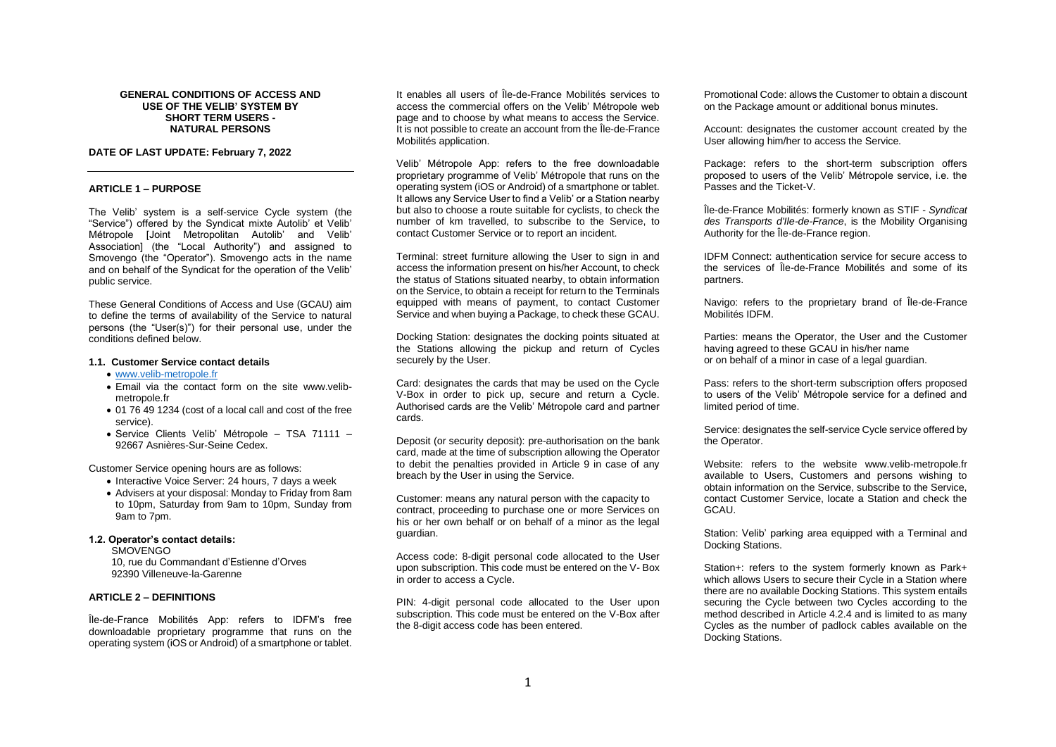#### **GENERAL CONDITIONS OF ACCESS AND USE OF THE VELIB' SYSTEM BY SHORT TERM USERS - NATURAL PERSONS**

### **DATE OF LAST UPDATE: February 7, 2022**

#### **ARTICLE 1 – PURPOSE**

The Velib' system is a self-service Cycle system (the "Service") offered by the Syndicat mixte Autolib' et Velib' Métropole [Joint Metropolitan Autolib' and Velib' Association] (the "Local Authority") and assigned to Smovengo (the "Operator"). Smovengo acts in the name and on behalf of the Syndicat for the operation of the Velib' public service.

These General Conditions of Access and Use (GCAU) aim to define the terms of availability of the Service to natural persons (the "User(s)") for their personal use, under the conditions defined below.

#### **1.1. Customer Service contact details**

- [www.velib-metropole.fr](http://www.velib-metropole.fr/)
- Email via the contact form on the site www.velibmetropole.fr
- 01 76 49 1234 (cost of a local call and cost of the free service).
- Service Clients Velib' Métropole TSA 71111 92667 Asnières-Sur-Seine Cedex.

Customer Service opening hours are as follows:

- Interactive Voice Server: 24 hours, 7 days a week
- Advisers at your disposal: Monday to Friday from 8am to 10pm, Saturday from 9am to 10pm, Sunday from 9am to 7pm.

## **1.2. Operator's contact details:**

SMOVENGO

10, rue du Commandant d'Estienne d'Orves 92390 Villeneuve-la-Garenne

# **ARTICLE 2 – DEFINITIONS**

Île-de-France Mobilités App: refers to IDFM's free downloadable proprietary programme that runs on the operating system (iOS or Android) of a smartphone or tablet.

It enables all users of Île-de-France Mobilités services to access the commercial offers on the Velib' Métropole web page and to choose by what means to access the Service. It is not possible to create an account from the Île-de-France Mobilités application.

Velib' Métropole App: refers to the free downloadable proprietary programme of Velib' Métropole that runs on the operating system (iOS or Android) of a smartphone or tablet. It allows any Service User to find a Velib' or a Station nearby but also to choose a route suitable for cyclists, to check the number of km travelled, to subscribe to the Service, to contact Customer Service or to report an incident.

Terminal: street furniture allowing the User to sign in and access the information present on his/her Account, to check the status of Stations situated nearby, to obtain information on the Service, to obtain a receipt for return to the Terminals equipped with means of payment, to contact Customer Service and when buying a Package, to check these GCAU.

Docking Station: designates the docking points situated at the Stations allowing the pickup and return of Cycles securely by the User.

Card: designates the cards that may be used on the Cycle V-Box in order to pick up, secure and return a Cycle. Authorised cards are the Velib' Métropole card and partner cards.

Deposit (or security deposit): pre-authorisation on the bank card, made at the time of subscription allowing the Operator to debit the penalties provided in Article 9 in case of any breach by the User in using the Service.

Customer: means any natural person with the capacity to contract, proceeding to purchase one or more Services on his or her own behalf or on behalf of a minor as the legal guardian.

Access code: 8-digit personal code allocated to the User upon subscription. This code must be entered on the V- Box in order to access a Cycle.

PIN: 4-digit personal code allocated to the User upon subscription. This code must be entered on the V-Box after the 8-digit access code has been entered.

Promotional Code: allows the Customer to obtain a discount on the Package amount or additional bonus minutes.

Account: designates the customer account created by the User allowing him/her to access the Service.

Package: refers to the short-term subscription offers proposed to users of the Velib' Métropole service, i.e. the Passes and the Ticket-V.

Île-de-France Mobilités: formerly known as STIF - *Syndicat des Transports d'Ile-de-France*, is the Mobility Organising Authority for the Île-de-France region.

IDFM Connect: authentication service for secure access to the services of Île-de-France Mobilités and some of its partners.

Navigo: refers to the proprietary brand of Île-de-France Mobilités IDFM.

Parties: means the Operator, the User and the Customer having agreed to these GCAU in his/her name or on behalf of a minor in case of a legal guardian.

Pass: refers to the short-term subscription offers proposed to users of the Velib' Métropole service for a defined and limited period of time.

Service: designates the self-service Cycle service offered by the Operator.

Website: refers to the website www.velib-metropole.fr available to Users, Customers and persons wishing to obtain information on the Service, subscribe to the Service, contact Customer Service, locate a Station and check the GCAU.

Station: Velib' parking area equipped with a Terminal and Docking Stations.

Station+: refers to the system formerly known as Park+ which allows Users to secure their Cycle in a Station where there are no available Docking Stations. This system entails securing the Cycle between two Cycles according to the method described in Article 4.2.4 and is limited to as many Cycles as the number of padlock cables available on the Docking Stations.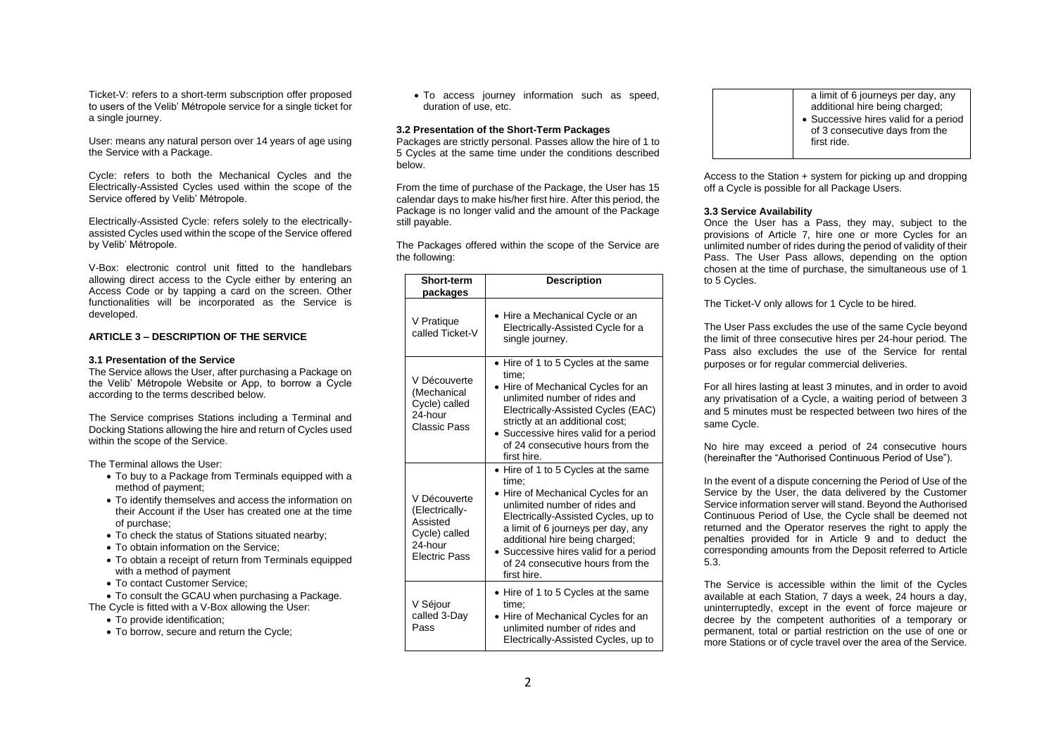Ticket-V: refers to a short-term subscription offer proposed to users of the Velib' Métropole service for a single ticket for a single journey.

User: means any natural person over 14 years of age using the Service with a Package.

Cycle: refers to both the Mechanical Cycles and the Electrically-Assisted Cycles used within the scope of the Service offered by Velib' Métropole.

Electrically-Assisted Cycle: refers solely to the electricallyassisted Cycles used within the scope of the Service offered by Velib' Métropole.

V-Box: electronic control unit fitted to the handlebars allowing direct access to the Cycle either by entering an Access Code or by tapping a card on the screen. Other functionalities will be incorporated as the Service is developed.

#### **ARTICLE 3 – DESCRIPTION OF THE SERVICE**

#### **3.1 Presentation of the Service**

The Service allows the User, after purchasing a Package on the Velib' Métropole Website or App, to borrow a Cycle according to the terms described below.

The Service comprises Stations including a Terminal and Docking Stations allowing the hire and return of Cycles used within the scope of the Service.

The Terminal allows the User:

- To buy to a Package from Terminals equipped with a method of payment;
- To identify themselves and access the information on their Account if the User has created one at the time of purchase;
- To check the status of Stations situated nearby;
- To obtain information on the Service;
- To obtain a receipt of return from Terminals equipped with a method of payment
- To contact Customer Service;
- To consult the GCAU when purchasing a Package.
- The Cycle is fitted with a V-Box allowing the User:
	- To provide identification;
	- To borrow, secure and return the Cycle:

• To access journey information such as speed, duration of use, etc.

#### **3.2 Presentation of the Short-Term Packages**

Packages are strictly personal. Passes allow the hire of 1 to 5 Cycles at the same time under the conditions described below.

From the time of purchase of the Package, the User has 15 calendar days to make his/her first hire. After this period, the Package is no longer valid and the amount of the Package still payable.

The Packages offered within the scope of the Service are the following:

|  | <b>Short-term</b><br>packages                                                                  | <b>Description</b>                                                                                                                                                                                                                                                                                                           |
|--|------------------------------------------------------------------------------------------------|------------------------------------------------------------------------------------------------------------------------------------------------------------------------------------------------------------------------------------------------------------------------------------------------------------------------------|
|  | V Pratique<br>called Ticket-V                                                                  | • Hire a Mechanical Cycle or an<br>Electrically-Assisted Cycle for a<br>single journey.                                                                                                                                                                                                                                      |
|  | V Découverte<br>(Mechanical<br>Cycle) called<br>24-hour<br>Classic Pass                        | • Hire of 1 to 5 Cycles at the same<br>time:<br>• Hire of Mechanical Cycles for an<br>unlimited number of rides and<br>Electrically-Assisted Cycles (EAC)<br>strictly at an additional cost;<br>• Successive hires valid for a period<br>of 24 consecutive hours from the<br>first hire.                                     |
|  | V Découverte<br>(Electrically-<br>Assisted<br>Cycle) called<br>24-hour<br><b>Flectric Pass</b> | • Hire of 1 to 5 Cycles at the same<br>time:<br>Hire of Mechanical Cycles for an<br>unlimited number of rides and<br>Electrically-Assisted Cycles, up to<br>a limit of 6 journeys per day, any<br>additional hire being charged;<br>• Successive hires valid for a period<br>of 24 consecutive hours from the<br>first hire. |
|  | V Séjour<br>called 3-Day<br>Pass                                                               | • Hire of 1 to 5 Cycles at the same<br>time:<br>Hire of Mechanical Cycles for an<br>unlimited number of rides and<br>Electrically-Assisted Cycles, up to                                                                                                                                                                     |

- a limit of 6 journeys per day, any additional hire being charged: • Successive hires valid for a period
- of 3 consecutive days from the first ride.

Access to the Station + system for picking up and dropping off a Cycle is possible for all Package Users.

#### **3.3 Service Availability**

Once the User has a Pass, they may, subject to the provisions of Article 7, hire one or more Cycles for an unlimited number of rides during the period of validity of their Pass. The User Pass allows, depending on the option chosen at the time of purchase, the simultaneous use of 1 to 5 Cycles.

The Ticket-V only allows for 1 Cycle to be hired.

The User Pass excludes the use of the same Cycle beyond the limit of three consecutive hires per 24-hour period. The Pass also excludes the use of the Service for rental purposes or for regular commercial deliveries.

For all hires lasting at least 3 minutes, and in order to avoid any privatisation of a Cycle, a waiting period of between 3 and 5 minutes must be respected between two hires of the same Cycle.

No hire may exceed a period of 24 consecutive hours (hereinafter the "Authorised Continuous Period of Use").

In the event of a dispute concerning the Period of Use of the Service by the User, the data delivered by the Customer Service information server will stand. Beyond the Authorised Continuous Period of Use, the Cycle shall be deemed not returned and the Operator reserves the right to apply the penalties provided for in Article 9 and to deduct the corresponding amounts from the Deposit referred to Article 5.3.

The Service is accessible within the limit of the Cycles available at each Station, 7 days a week, 24 hours a day, uninterruptedly, except in the event of force majeure or decree by the competent authorities of a temporary or permanent, total or partial restriction on the use of one or more Stations or of cycle travel over the area of the Service.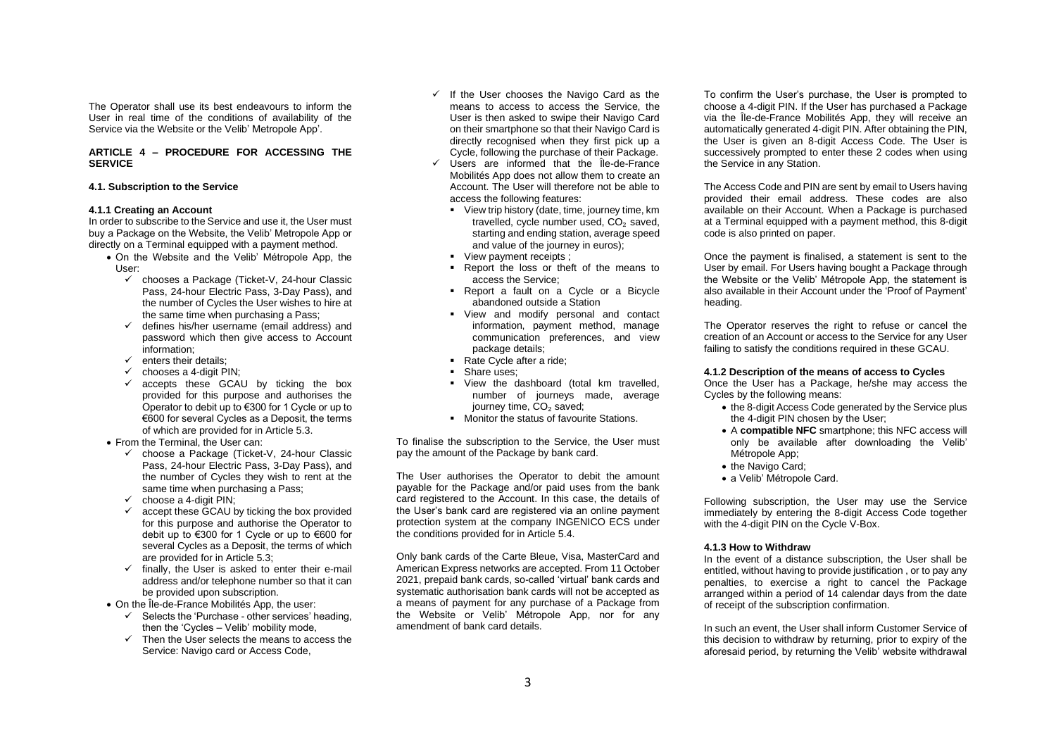The Operator shall use its best endeavours to inform the User in real time of the conditions of availability of the Service via the Website or the Velib' Metropole App'.

## **ARTICLE 4 – PROCEDURE FOR ACCESSING THE SERVICE**

## **4.1. Subscription to the Service**

#### **4.1.1 Creating an Account**

In order to subscribe to the Service and use it, the User must buy a Package on the Website, the Velib' Metropole App or directly on a Terminal equipped with a payment method.

- On the Website and the Velib' Métropole App, the User:
	- ✓ chooses a Package (Ticket-V, 24-hour Classic Pass, 24-hour Electric Pass, 3-Day Pass), and the number of Cycles the User wishes to hire at the same time when purchasing a Pass;
	- $\checkmark$  defines his/her username (email address) and password which then give access to Account information;
	- $\checkmark$  enters their details:
	- $\checkmark$  chooses a 4-digit PIN:
	- $\checkmark$  accepts these GCAU by ticking the box provided for this purpose and authorises the Operator to debit up to €300 for 1 Cycle or up to €600 for several Cycles as a Deposit, the terms of which are provided for in Article 5.3.
- From the Terminal, the User can:
	- ✓ choose a Package (Ticket-V, 24-hour Classic Pass, 24-hour Electric Pass, 3-Day Pass), and the number of Cycles they wish to rent at the same time when purchasing a Pass;
	- $\checkmark$  choose a 4-digit PIN;
	- $\checkmark$  accept these GCAU by ticking the box provided for this purpose and authorise the Operator to debit up to €300 for 1 Cycle or up to €600 for several Cycles as a Deposit, the terms of which are provided for in Article 5.3;
	- $\checkmark$  finally, the User is asked to enter their e-mail address and/or telephone number so that it can be provided upon subscription.
- On the Île-de-France Mobilités App, the user:
	- $\checkmark$  Selects the 'Purchase other services' heading. then the 'Cycles – Velib' mobility mode,
	- $\checkmark$  Then the User selects the means to access the Service: Navigo card or Access Code,
- ✓ If the User chooses the Navigo Card as the means to access to access the Service, the User is then asked to swipe their Navigo Card on their smartphone so that their Navigo Card is directly recognised when they first pick up a Cycle, following the purchase of their Package.
- ✓ Users are informed that the Île-de-France Mobilités App does not allow them to create an Account. The User will therefore not be able to access the following features:
	- **•** View trip history (date, time, journey time, km travelled, cycle number used, CO<sub>2</sub> saved. starting and ending station, average speed and value of the journey in euros);
	- **•** View payment receipts ;
	- Report the loss or theft of the means to access the Service;
	- Report a fault on a Cycle or a Bicycle abandoned outside a Station
	- View and modify personal and contact information, payment method, manage communication preferences, and view package details;
	- Rate Cycle after a ride:
	- Share uses;
	- View the dashboard (total km travelled, number of journeys made, average journey time, CO<sub>2</sub> saved;
	- Monitor the status of favourite Stations.

To finalise the subscription to the Service, the User must pay the amount of the Package by bank card.

The User authorises the Operator to debit the amount payable for the Package and/or paid uses from the bank card registered to the Account. In this case, the details of the User's bank card are registered via an online payment protection system at the company INGENICO ECS under the conditions provided for in Article 5.4.

Only bank cards of the Carte Bleue, Visa, MasterCard and American Express networks are accepted. From 11 October 2021, prepaid bank cards, so-called 'virtual' bank cards and systematic authorisation bank cards will not be accepted as a means of payment for any purchase of a Package from the Website or Velib' Métropole App, nor for any amendment of bank card details.

To confirm the User's purchase, the User is prompted to choose a 4-digit PIN. If the User has purchased a Package via the Île-de-France Mobilités App, they will receive an automatically generated 4-digit PIN. After obtaining the PIN, the User is given an 8-digit Access Code. The User is successively prompted to enter these 2 codes when using the Service in any Station.

The Access Code and PIN are sent by email to Users having provided their email address. These codes are also available on their Account. When a Package is purchased at a Terminal equipped with a payment method, this 8-digit code is also printed on paper.

Once the payment is finalised, a statement is sent to the User by email. For Users having bought a Package through the Website or the Velib' Métropole App, the statement is also available in their Account under the 'Proof of Payment' heading.

The Operator reserves the right to refuse or cancel the creation of an Account or access to the Service for any User failing to satisfy the conditions required in these GCAU.

#### **4.1.2 Description of the means of access to Cycles**

Once the User has a Package, he/she may access the Cycles by the following means:

- the 8-digit Access Code generated by the Service plus the 4-digit PIN chosen by the User;
- A **compatible NFC** smartphone; this NFC access will only be available after downloading the Velib' Métropole App<sup>-</sup>
- the Navigo Card;
- a Velib' Métropole Card.

Following subscription, the User may use the Service immediately by entering the 8-digit Access Code together with the 4-digit PIN on the Cycle V-Box.

# **4.1.3 How to Withdraw**

In the event of a distance subscription, the User shall be entitled, without having to provide justification , or to pay any penalties, to exercise a right to cancel the Package arranged within a period of 14 calendar days from the date of receipt of the subscription confirmation.

In such an event, the User shall inform Customer Service of this decision to withdraw by returning, prior to expiry of the aforesaid period, by returning the Velib' website withdrawal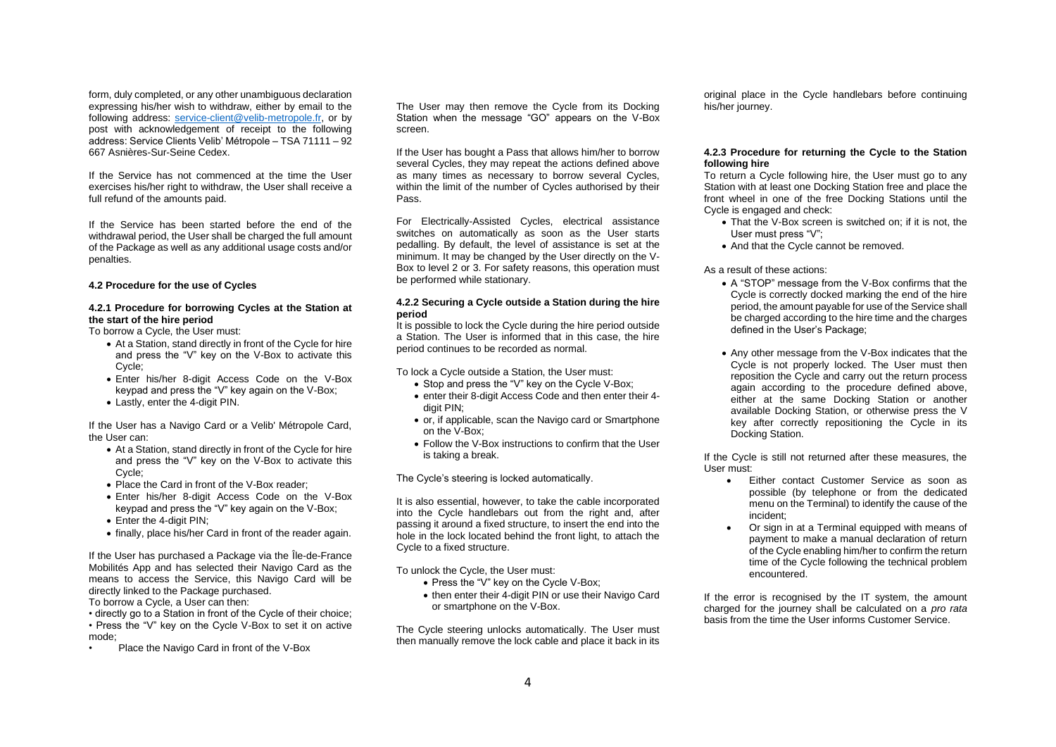form, duly completed, or any other unambiguous declaration expressing his/her wish to withdraw, either by email to the following address: [service-client@velib-metropole.fr,](mailto:service-client@velib-metropole.fr) or by post with acknowledgement of receipt to the following address: Service Clients Velib' Métropole – TSA 71111 – 92 667 Asnières-Sur-Seine Cedex.

If the Service has not commenced at the time the User exercises his/her right to withdraw, the User shall receive a full refund of the amounts paid.

If the Service has been started before the end of the withdrawal period, the User shall be charged the full amount of the Package as well as any additional usage costs and/or penalties.

## **4.2 Procedure for the use of Cycles**

## **4.2.1 Procedure for borrowing Cycles at the Station at the start of the hire period**

To borrow a Cycle, the User must:

- At a Station, stand directly in front of the Cycle for hire and press the "V" key on the V-Box to activate this Cycle;
- Enter his/her 8-digit Access Code on the V-Box keypad and press the "V" key again on the V-Box;
- Lastly, enter the 4-digit PIN.

If the User has a Navigo Card or a Velib' Métropole Card, the User can:

- At a Station, stand directly in front of the Cycle for hire and press the "V" key on the V-Box to activate this Cycle;
- Place the Card in front of the V-Box reader;
- Enter his/her 8-digit Access Code on the V-Box keypad and press the "V" key again on the V-Box;
- Enter the 4-digit PIN;
- finally, place his/her Card in front of the reader again.

If the User has purchased a Package via the Île-de-France Mobilités App and has selected their Navigo Card as the means to access the Service, this Navigo Card will be directly linked to the Package purchased. To borrow a Cycle, a User can then:

• directly go to a Station in front of the Cycle of their choice; • Press the "V" key on the Cycle V-Box to set it on active mode;

• Place the Navigo Card in front of the V-Box

The User may then remove the Cycle from its Docking Station when the message "GO" appears on the V-Box screen.

If the User has bought a Pass that allows him/her to borrow several Cycles, they may repeat the actions defined above as many times as necessary to borrow several Cycles, within the limit of the number of Cycles authorised by their Pass.

For Electrically-Assisted Cycles, electrical assistance switches on automatically as soon as the User starts pedalling. By default, the level of assistance is set at the minimum. It may be changed by the User directly on the V-Box to level 2 or 3. For safety reasons, this operation must be performed while stationary.

## **4.2.2 Securing a Cycle outside a Station during the hire period**

It is possible to lock the Cycle during the hire period outside a Station. The User is informed that in this case, the hire period continues to be recorded as normal.

To lock a Cycle outside a Station, the User must:

- Stop and press the "V" key on the Cycle V-Box:
- enter their 8-digit Access Code and then enter their 4 digit PIN;
- or, if applicable, scan the Navigo card or Smartphone on the V-Box;
- Follow the V-Box instructions to confirm that the User is taking a break.

The Cycle's steering is locked automatically.

It is also essential, however, to take the cable incorporated into the Cycle handlebars out from the right and, after passing it around a fixed structure, to insert the end into the hole in the lock located behind the front light, to attach the Cycle to a fixed structure.

To unlock the Cycle, the User must:

- Press the "V" key on the Cycle V-Box;
- then enter their 4-digit PIN or use their Navigo Card or smartphone on the V-Box.

The Cycle steering unlocks automatically. The User must then manually remove the lock cable and place it back in its

original place in the Cycle handlebars before continuing his/her journey.

### **4.2.3 Procedure for returning the Cycle to the Station following hire**

To return a Cycle following hire, the User must go to any Station with at least one Docking Station free and place the front wheel in one of the free Docking Stations until the Cycle is engaged and check:

- That the V-Box screen is switched on; if it is not, the User must press "V";
- And that the Cycle cannot be removed.

## As a result of these actions:

- A "STOP" message from the V-Box confirms that the Cycle is correctly docked marking the end of the hire period, the amount payable for use of the Service shall be charged according to the hire time and the charges defined in the User's Package;
- Any other message from the V-Box indicates that the Cycle is not properly locked. The User must then reposition the Cycle and carry out the return process again according to the procedure defined above, either at the same Docking Station or another available Docking Station, or otherwise press the V key after correctly repositioning the Cycle in its Docking Station.

If the Cycle is still not returned after these measures, the User must:

- Either contact Customer Service as soon as possible (by telephone or from the dedicated menu on the Terminal) to identify the cause of the incident;
- Or sign in at a Terminal equipped with means of payment to make a manual declaration of return of the Cycle enabling him/her to confirm the return time of the Cycle following the technical problem encountered.

If the error is recognised by the IT system, the amount charged for the journey shall be calculated on a *pro rata* basis from the time the User informs Customer Service.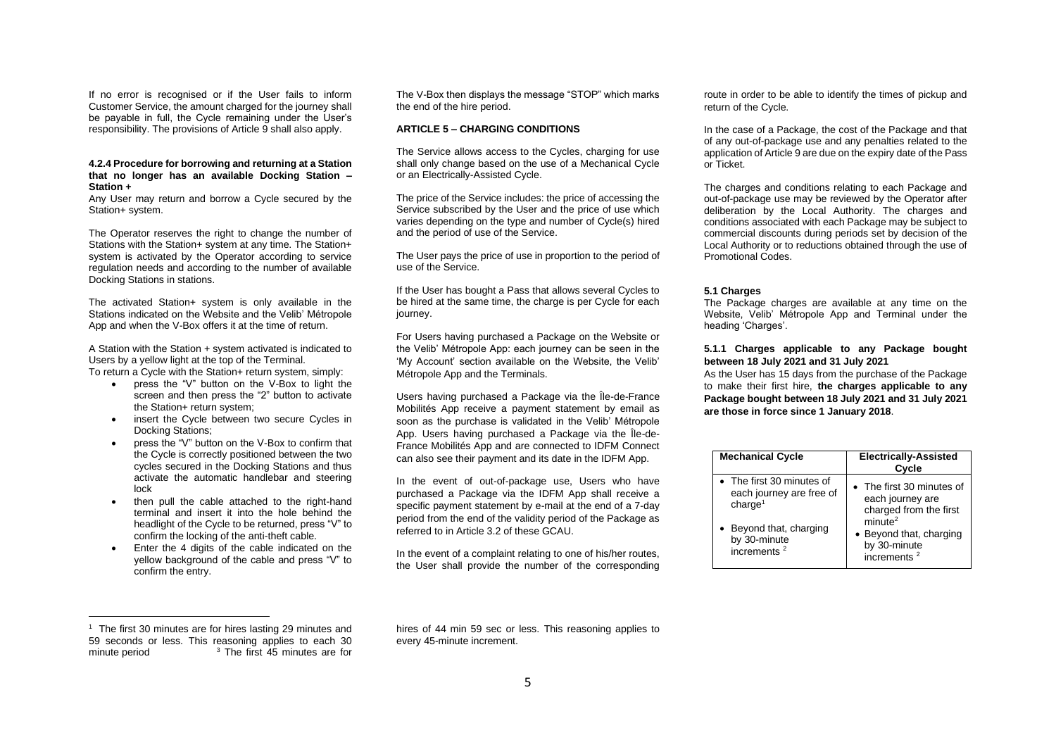If no error is recognised or if the User fails to inform Customer Service, the amount charged for the journey shall be payable in full, the Cycle remaining under the User's responsibility. The provisions of Article 9 shall also apply.

#### **4.2.4 Procedure for borrowing and returning at a Station that no longer has an available Docking Station – Station +**

Any User may return and borrow a Cycle secured by the Station+ system.

The Operator reserves the right to change the number of Stations with the Station+ system at any time. The Station+ system is activated by the Operator according to service regulation needs and according to the number of available Docking Stations in stations.

The activated Station+ system is only available in the Stations indicated on the Website and the Velib' Métropole App and when the V-Box offers it at the time of return.

A Station with the Station + system activated is indicated to Users by a yellow light at the top of the Terminal. To return a Cycle with the Station+ return system, simply:

- press the "V" button on the V-Box to light the screen and then press the "2" button to activate the Station+ return system;
- insert the Cycle between two secure Cycles in Docking Stations;
- press the "V" button on the V-Box to confirm that the Cycle is correctly positioned between the two cycles secured in the Docking Stations and thus activate the automatic handlebar and steering lock
- then pull the cable attached to the right-hand terminal and insert it into the hole behind the headlight of the Cycle to be returned, press "V" to confirm the locking of the anti-theft cable.
- Enter the 4 digits of the cable indicated on the yellow background of the cable and press "V" to confirm the entry.

The V-Box then displays the message "STOP" which marks the end of the hire period.

#### **ARTICLE 5 – CHARGING CONDITIONS**

The Service allows access to the Cycles, charging for use shall only change based on the use of a Mechanical Cycle or an Electrically-Assisted Cycle.

The price of the Service includes: the price of accessing the Service subscribed by the User and the price of use which varies depending on the type and number of Cycle(s) hired and the period of use of the Service.

The User pays the price of use in proportion to the period of use of the Service.

If the User has bought a Pass that allows several Cycles to be hired at the same time, the charge is per Cycle for each journey.

For Users having purchased a Package on the Website or the Velib' Métropole App: each journey can be seen in the 'My Account' section available on the Website, the Velib' Métropole App and the Terminals.

Users having purchased a Package via the Île-de-France Mobilités App receive a payment statement by email as soon as the purchase is validated in the Velib' Métropole App. Users having purchased a Package via the Île-de-France Mobilités App and are connected to IDFM Connect can also see their payment and its date in the IDFM App.

In the event of out-of-package use, Users who have purchased a Package via the IDFM App shall receive a specific payment statement by e-mail at the end of a 7-day period from the end of the validity period of the Package as referred to in Article 3.2 of these GCAU.

In the event of a complaint relating to one of his/her routes, the User shall provide the number of the corresponding route in order to be able to identify the times of pickup and return of the Cycle.

In the case of a Package, the cost of the Package and that of any out-of-package use and any penalties related to the application of Article 9 are due on the expiry date of the Pass or Ticket.

The charges and conditions relating to each Package and out-of-package use may be reviewed by the Operator after deliberation by the Local Authority. The charges and conditions associated with each Package may be subject to commercial discounts during periods set by decision of the Local Authority or to reductions obtained through the use of Promotional Codes.

#### **5.1 Charges**

The Package charges are available at any time on the Website, Velib' Métropole App and Terminal under the heading 'Charges'

## **5.1.1 Charges applicable to any Package bought between 18 July 2021 and 31 July 2021**

As the User has 15 days from the purchase of the Package to make their first hire, **the charges applicable to any Package bought between 18 July 2021 and 31 July 2021 are those in force since 1 January 2018**.

| <b>Mechanical Cycle</b>                                                      | <b>Electrically-Assisted</b><br>Cycle                                            |
|------------------------------------------------------------------------------|----------------------------------------------------------------------------------|
| • The first 30 minutes of<br>each journey are free of<br>charae <sup>1</sup> | • The first 30 minutes of<br>each journey are<br>charged from the first          |
| • Beyond that, charging<br>by 30-minute<br>increments <sup>2</sup>           | minute <sup>2</sup><br>• Beyond that, charging<br>by 30-minute<br>increments $2$ |

<sup>&</sup>lt;sup>1</sup> The first 30 minutes are for hires lasting 29 minutes and 59 seconds or less. This reasoning applies to each 30 minute period  $3$  The first  $45$  minutes are for

hires of 44 min 59 sec or less. This reasoning applies to every 45-minute increment.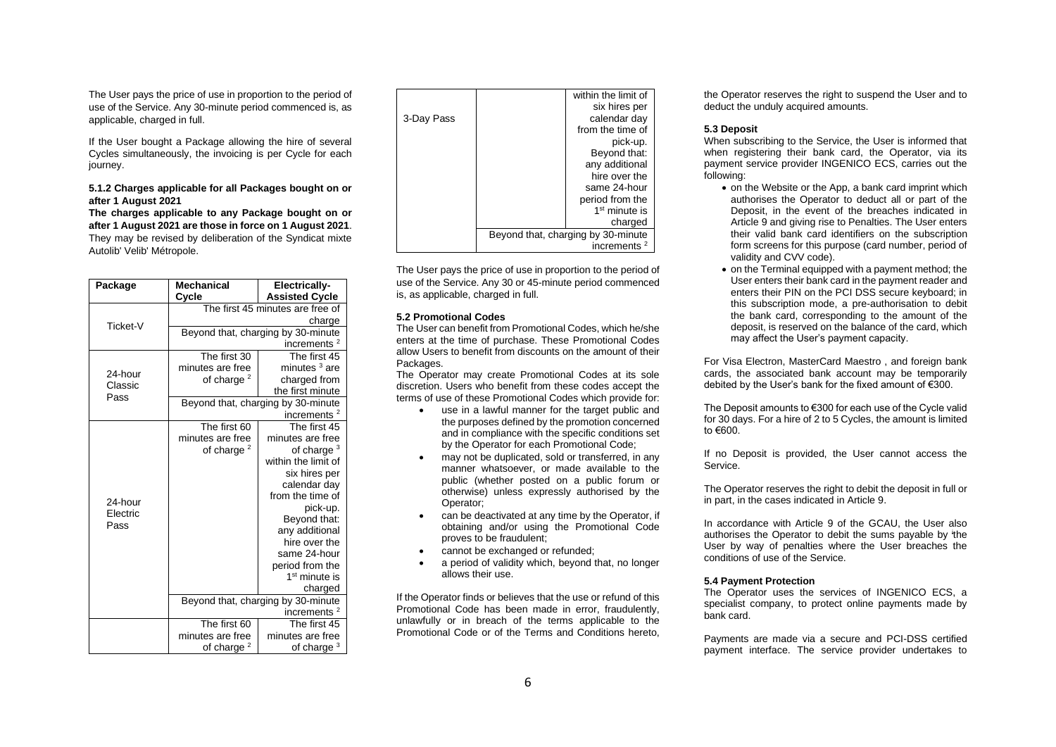The User pays the price of use in proportion to the period of use of the Service. Any 30-minute period commenced is, as applicable, charged in full.

If the User bought a Package allowing the hire of several Cycles simultaneously, the invoicing is per Cycle for each iourney.

## **5.1.2 Charges applicable for all Packages bought on or after 1 August 2021**

**The charges applicable to any Package bought on or after 1 August 2021 are those in force on 1 August 2021**. They may be revised by deliberation of the Syndicat mixte Autolib' Velib' Métropole.

| Package  | <b>Mechanical</b>                  | <b>Electrically-</b>      |  |
|----------|------------------------------------|---------------------------|--|
|          | Cycle                              | <b>Assisted Cycle</b>     |  |
|          | The first 45 minutes are free of   |                           |  |
| Ticket-V |                                    | charge                    |  |
|          | Beyond that, charging by 30-minute |                           |  |
|          |                                    | increments $2$            |  |
|          | The first 30                       | The first 45              |  |
| 24-hour  | minutes are free                   | minutes <sup>3</sup> are  |  |
| Classic  | of charge $2$                      | charged from              |  |
| Pass     |                                    | the first minute          |  |
|          | Beyond that, charging by 30-minute |                           |  |
|          |                                    | increments <sup>2</sup>   |  |
|          | The first 60                       | The first 45              |  |
|          | minutes are free                   | minutes are free          |  |
|          | of charge <sup>2</sup>             | of charge $3$             |  |
|          |                                    | within the limit of       |  |
|          |                                    | six hires per             |  |
|          |                                    | calendar day              |  |
| 24-hour  |                                    | from the time of          |  |
| Electric |                                    | pick-up.<br>Beyond that:  |  |
| Pass     |                                    | any additional            |  |
|          |                                    | hire over the             |  |
|          |                                    | same 24-hour              |  |
|          |                                    | period from the           |  |
|          |                                    | 1 <sup>st</sup> minute is |  |
|          |                                    | charged                   |  |
|          | Beyond that, charging by 30-minute |                           |  |
|          |                                    | increments $2$            |  |
|          | The first 60                       | The first 45              |  |
|          | minutes are free                   | minutes are free          |  |
|          | of charge $2$                      | of charge <sup>3</sup>    |  |

|            | within the limit of                |
|------------|------------------------------------|
|            | six hires per                      |
| 3-Day Pass | calendar day                       |
|            | from the time of                   |
|            | pick-up.                           |
|            | Beyond that:                       |
|            | any additional                     |
|            | hire over the                      |
|            | same 24-hour                       |
|            | period from the                    |
|            | $1st$ minute is                    |
|            | charged                            |
|            | Beyond that, charging by 30-minute |
|            | increments <sup>2</sup>            |

The User pays the price of use in proportion to the period of use of the Service. Any 30 or 45-minute period commenced is, as applicable, charged in full.

### **5.2 Promotional Codes**

The User can benefit from Promotional Codes, which he/she enters at the time of purchase. These Promotional Codes allow Users to benefit from discounts on the amount of their Packages.

The Operator may create Promotional Codes at its sole discretion. Users who benefit from these codes accept the terms of use of these Promotional Codes which provide for:

- use in a lawful manner for the target public and the purposes defined by the promotion concerned and in compliance with the specific conditions set by the Operator for each Promotional Code;
- may not be duplicated, sold or transferred, in any manner whatsoever, or made available to the public (whether posted on a public forum or otherwise) unless expressly authorised by the Operator;
- can be deactivated at any time by the Operator, if obtaining and/or using the Promotional Code proves to be fraudulent;
- cannot be exchanged or refunded:
- a period of validity which, beyond that, no longer allows their use.

If the Operator finds or believes that the use or refund of this Promotional Code has been made in error, fraudulently, unlawfully or in breach of the terms applicable to the Promotional Code or of the Terms and Conditions hereto, the Operator reserves the right to suspend the User and to deduct the unduly acquired amounts.

#### **5.3 Deposit**

When subscribing to the Service, the User is informed that when registering their bank card, the Operator, via its payment service provider INGENICO ECS, carries out the following:

- on the Website or the App, a bank card imprint which authorises the Operator to deduct all or part of the Deposit, in the event of the breaches indicated in Article 9 and giving rise to Penalties. The User enters their valid bank card identifiers on the subscription form screens for this purpose (card number, period of validity and CVV code).
- on the Terminal equipped with a payment method; the User enters their bank card in the payment reader and enters their PIN on the PCI DSS secure keyboard; in this subscription mode, a pre-authorisation to debit the bank card, corresponding to the amount of the deposit, is reserved on the balance of the card, which may affect the User's payment capacity.

For Visa Electron, MasterCard Maestro , and foreign bank cards, the associated bank account may be temporarily debited by the User's bank for the fixed amount of €300.

The Deposit amounts to €300 for each use of the Cycle valid for 30 days. For a hire of 2 to 5 Cycles, the amount is limited to €600.

If no Deposit is provided, the User cannot access the Service.

The Operator reserves the right to debit the deposit in full or in part, in the cases indicated in Article 9.

In accordance with Article 9 of the GCAU, the User also authorises the Operator to debit the sums payable by the User by way of penalties where the User breaches the conditions of use of the Service.

## **5.4 Payment Protection**

The Operator uses the services of INGENICO ECS, a specialist company, to protect online payments made by bank card.

Payments are made via a secure and PCI-DSS certified payment interface. The service provider undertakes to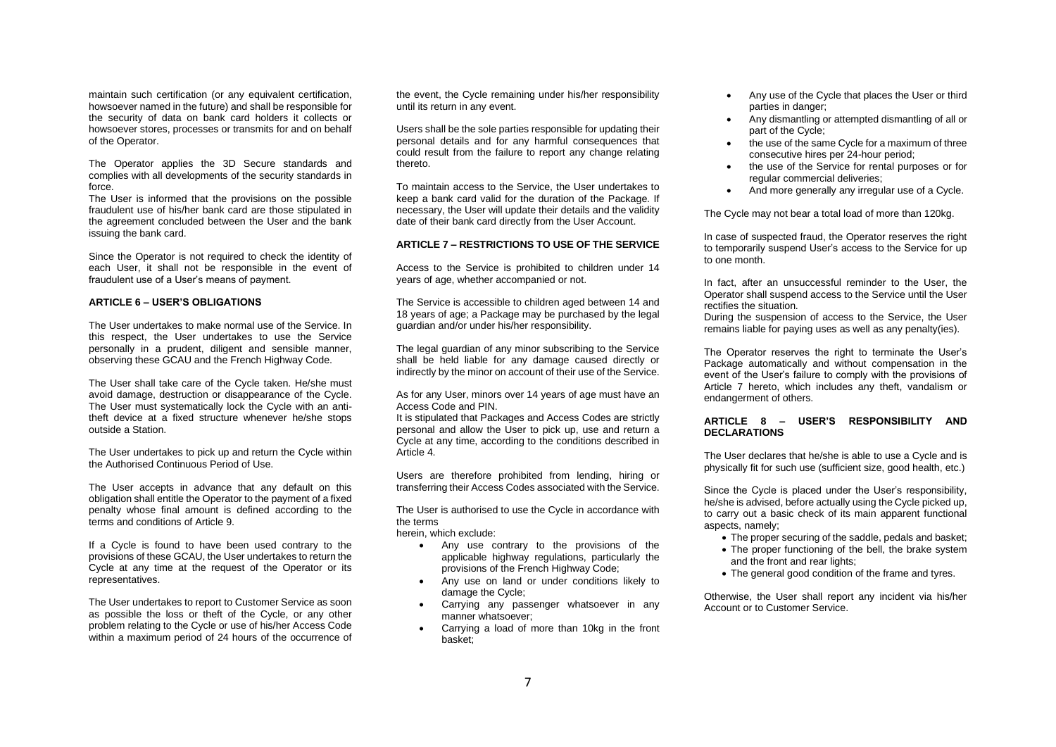maintain such certification (or any equivalent certification, howsoever named in the future) and shall be responsible for the security of data on bank card holders it collects or howsoever stores, processes or transmits for and on behalf of the Operator.

The Operator applies the 3D Secure standards and complies with all developments of the security standards in force.

The User is informed that the provisions on the possible fraudulent use of his/her bank card are those stipulated in the agreement concluded between the User and the bank issuing the bank card.

Since the Operator is not required to check the identity of each User, it shall not be responsible in the event of fraudulent use of a User's means of payment.

## **ARTICLE 6 – USER'S OBLIGATIONS**

The User undertakes to make normal use of the Service. In this respect, the User undertakes to use the Service personally in a prudent, diligent and sensible manner, observing these GCAU and the French Highway Code.

The User shall take care of the Cycle taken. He/she must avoid damage, destruction or disappearance of the Cycle. The User must systematically lock the Cycle with an antitheft device at a fixed structure whenever he/she stops outside a Station.

The User undertakes to pick up and return the Cycle within the Authorised Continuous Period of Use.

The User accepts in advance that any default on this obligation shall entitle the Operator to the payment of a fixed penalty whose final amount is defined according to the terms and conditions of Article 9.

If a Cycle is found to have been used contrary to the provisions of these GCAU, the User undertakes to return the Cycle at any time at the request of the Operator or its representatives.

The User undertakes to report to Customer Service as soon as possible the loss or theft of the Cycle, or any other problem relating to the Cycle or use of his/her Access Code within a maximum period of 24 hours of the occurrence of the event, the Cycle remaining under his/her responsibility until its return in any event.

Users shall be the sole parties responsible for updating their personal details and for any harmful consequences that could result from the failure to report any change relating thereto.

To maintain access to the Service, the User undertakes to keep a bank card valid for the duration of the Package. If necessary, the User will update their details and the validity date of their bank card directly from the User Account.

#### **ARTICLE 7 – RESTRICTIONS TO USE OF THE SERVICE**

Access to the Service is prohibited to children under 14 years of age, whether accompanied or not.

The Service is accessible to children aged between 14 and 18 years of age; a Package may be purchased by the legal guardian and/or under his/her responsibility.

The legal guardian of any minor subscribing to the Service shall be held liable for any damage caused directly or indirectly by the minor on account of their use of the Service.

As for any User, minors over 14 years of age must have an Access Code and PIN.

It is stipulated that Packages and Access Codes are strictly personal and allow the User to pick up, use and return a Cycle at any time, according to the conditions described in Article 4.

Users are therefore prohibited from lending, hiring or transferring their Access Codes associated with the Service.

The User is authorised to use the Cycle in accordance with the terms

herein, which exclude:

- Any use contrary to the provisions of the applicable highway regulations, particularly the provisions of the French Highway Code;
- Any use on land or under conditions likely to damage the Cycle;
- Carrying any passenger whatsoever in any manner whatsoever;
- Carrying a load of more than 10kg in the front basket;
- Any use of the Cycle that places the User or third parties in danger;
- Any dismantling or attempted dismantling of all or part of the Cycle;
- the use of the same Cycle for a maximum of three consecutive hires per 24-hour period;
- the use of the Service for rental purposes or for regular commercial deliveries;
- And more generally any irregular use of a Cycle.

The Cycle may not bear a total load of more than 120kg.

In case of suspected fraud, the Operator reserves the right to temporarily suspend User's access to the Service for up to one month.

In fact, after an unsuccessful reminder to the User, the Operator shall suspend access to the Service until the User rectifies the situation.

During the suspension of access to the Service, the User remains liable for paying uses as well as any penalty(ies).

The Operator reserves the right to terminate the User's Package automatically and without compensation in the event of the User's failure to comply with the provisions of Article 7 hereto, which includes any theft, vandalism or endangerment of others.

## **ARTICLE 8 – USER'S RESPONSIBILITY AND DECLARATIONS**

The User declares that he/she is able to use a Cycle and is physically fit for such use (sufficient size, good health, etc.)

Since the Cycle is placed under the User's responsibility, he/she is advised, before actually using the Cycle picked up, to carry out a basic check of its main apparent functional aspects, namely;

- The proper securing of the saddle, pedals and basket;
- The proper functioning of the bell, the brake system and the front and rear lights;
- The general good condition of the frame and tyres.

Otherwise, the User shall report any incident via his/her Account or to Customer Service.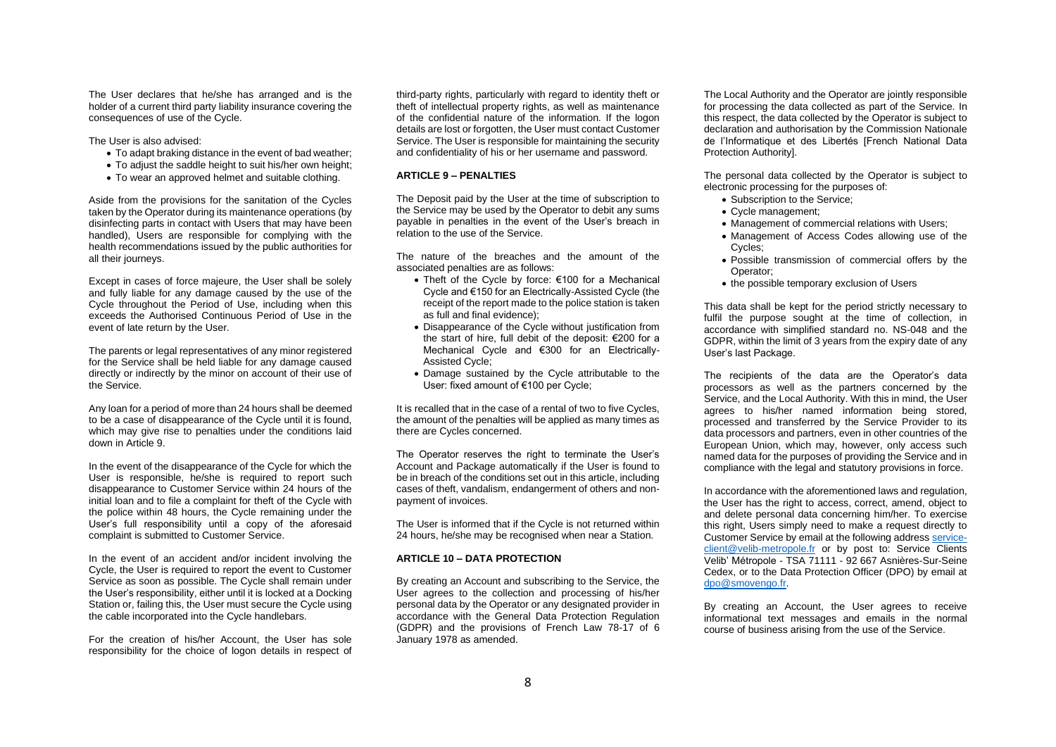The User declares that he/she has arranged and is the holder of a current third party liability insurance covering the consequences of use of the Cycle.

The User is also advised:

- To adapt braking distance in the event of bad weather;
- To adjust the saddle height to suit his/her own height;
- To wear an approved helmet and suitable clothing.

Aside from the provisions for the sanitation of the Cycles taken by the Operator during its maintenance operations (by disinfecting parts in contact with Users that may have been handled), Users are responsible for complying with the health recommendations issued by the public authorities for all their journeys.

Except in cases of force majeure, the User shall be solely and fully liable for any damage caused by the use of the Cycle throughout the Period of Use, including when this exceeds the Authorised Continuous Period of Use in the event of late return by the User.

The parents or legal representatives of any minor registered for the Service shall be held liable for any damage caused directly or indirectly by the minor on account of their use of the Service.

Any loan for a period of more than 24 hours shall be deemed to be a case of disappearance of the Cycle until it is found, which may give rise to penalties under the conditions laid down in Article 9.

In the event of the disappearance of the Cycle for which the User is responsible, he/she is required to report such disappearance to Customer Service within 24 hours of the initial loan and to file a complaint for theft of the Cycle with the police within 48 hours, the Cycle remaining under the User's full responsibility until a copy of the aforesaid complaint is submitted to Customer Service.

In the event of an accident and/or incident involving the Cycle, the User is required to report the event to Customer Service as soon as possible. The Cycle shall remain under the User's responsibility, either until it is locked at a Docking Station or, failing this, the User must secure the Cycle using the cable incorporated into the Cycle handlebars.

For the creation of his/her Account, the User has sole responsibility for the choice of logon details in respect of

third-party rights, particularly with regard to identity theft or theft of intellectual property rights, as well as maintenance of the confidential nature of the information. If the logon details are lost or forgotten, the User must contact Customer Service. The User is responsible for maintaining the security and confidentiality of his or her username and password.

### **ARTICLE 9 – PENALTIES**

The Deposit paid by the User at the time of subscription to the Service may be used by the Operator to debit any sums payable in penalties in the event of the User's breach in relation to the use of the Service.

The nature of the breaches and the amount of the associated penalties are as follows:

- Theft of the Cycle by force: €100 for a Mechanical Cycle and €150 for an Electrically-Assisted Cycle (the receipt of the report made to the police station is taken as full and final evidence);
- Disappearance of the Cycle without justification from the start of hire, full debit of the deposit: €200 for a Mechanical Cycle and €300 for an Electrically-Assisted Cycle;
- Damage sustained by the Cycle attributable to the User: fixed amount of €100 per Cycle;

It is recalled that in the case of a rental of two to five Cycles, the amount of the penalties will be applied as many times as there are Cycles concerned.

The Operator reserves the right to terminate the User's Account and Package automatically if the User is found to be in breach of the conditions set out in this article, including cases of theft, vandalism, endangerment of others and nonpayment of invoices.

The User is informed that if the Cycle is not returned within 24 hours, he/she may be recognised when near a Station.

# **ARTICLE 10 – DATA PROTECTION**

By creating an Account and subscribing to the Service, the User agrees to the collection and processing of his/her personal data by the Operator or any designated provider in accordance with the General Data Protection Regulation (GDPR) and the provisions of French Law 78-17 of 6 January 1978 as amended.

The Local Authority and the Operator are jointly responsible for processing the data collected as part of the Service. In this respect, the data collected by the Operator is subject to declaration and authorisation by the Commission Nationale de l'Informatique et des Libertés [French National Data Protection Authority].

The personal data collected by the Operator is subject to electronic processing for the purposes of:

- Subscription to the Service;
- Cycle management;
- Management of commercial relations with Users:
- Management of Access Codes allowing use of the Cycles;
- Possible transmission of commercial offers by the Operator;
- the possible temporary exclusion of Users

This data shall be kept for the period strictly necessary to fulfil the purpose sought at the time of collection, in accordance with simplified standard no. NS-048 and the GDPR, within the limit of 3 years from the expiry date of any User's last Package.

The recipients of the data are the Operator's data processors as well as the partners concerned by the Service, and the Local Authority. With this in mind, the User agrees to his/her named information being stored, processed and transferred by the Service Provider to its data processors and partners, even in other countries of the European Union, which may, however, only access such named data for the purposes of providing the Service and in compliance with the legal and statutory provisions in force.

In accordance with the aforementioned laws and regulation, the User has the right to access, correct, amend, object to and delete personal data concerning him/her. To exercise this right, Users simply need to make a request directly to Customer Service by email at the following addres[s service](mailto:service-client@velib-metropole.fr)[client@velib-metropole.fr](mailto:service-client@velib-metropole.fr) or by post to: Service Clients Velib' Métropole - TSA 71111 - 92 667 Asnières-Sur-Seine Cedex, or to the Data Protection Officer (DPO) by email at [dpo@smovengo.fr.](mailto:dpo@smovengo.fr)

By creating an Account, the User agrees to receive informational text messages and emails in the normal course of business arising from the use of the Service.